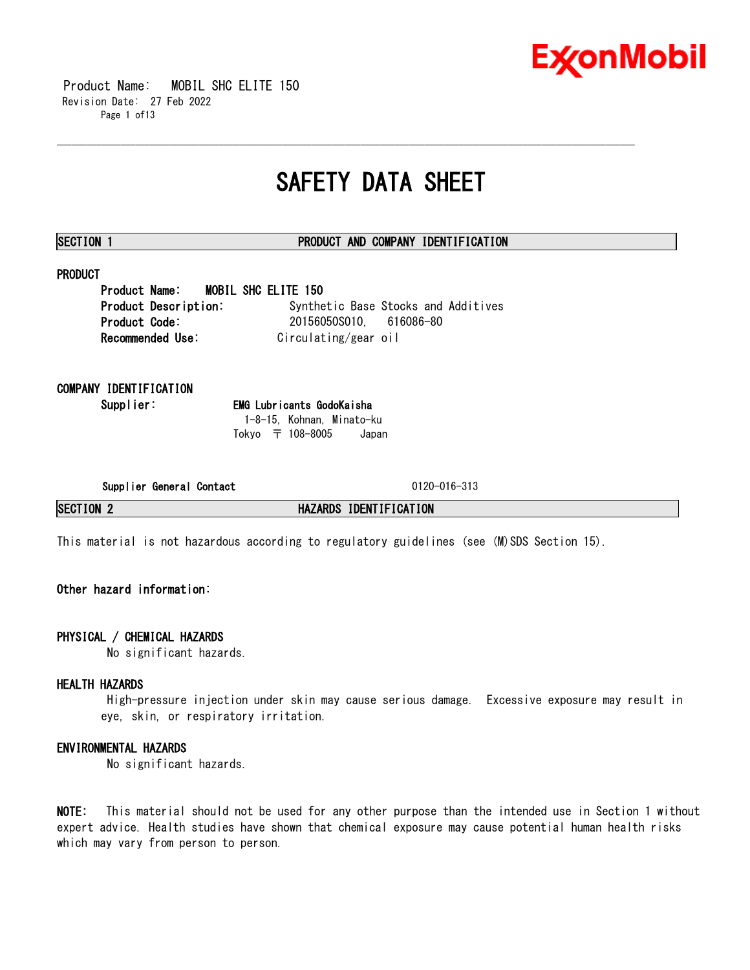

 Product Name: MOBIL SHC ELITE 150 Revision Date: 27 Feb 2022 Page 1 of13

# **SAFETY DATA SHEET**

\_\_\_\_\_\_\_\_\_\_\_\_\_\_\_\_\_\_\_\_\_\_\_\_\_\_\_\_\_\_\_\_\_\_\_\_\_\_\_\_\_\_\_\_\_\_\_\_\_\_\_\_\_\_\_\_\_\_\_\_\_\_\_\_\_\_\_\_\_\_\_\_\_\_\_\_\_\_\_\_\_\_\_\_\_\_\_\_\_\_\_\_\_\_\_\_\_\_\_\_\_\_\_\_\_\_\_\_\_\_\_\_\_\_\_\_\_\_

# **SECTION 1 PRODUCT AND COMPANY IDENTIFICATION**

# **PRODUCT**

**Product Name: MOBIL SHC ELITE 150 Product Description:** Synthetic Base Stocks and Additives **Product Code:** 20156050S010, 616086-80 **Recommended Use:** Circulating/gear oil

**COMPANY IDENTIFICATION**

**Supplier: EMG Lubricants GodoKaisha** 1-8-15, Kohnan, Minato-ku Tokyo 〒 108-8005 Japan

**Supplier General Contact** 0120-016-313

**SECTION 2 HAZARDS IDENTIFICATION**

This material is not hazardous according to regulatory guidelines (see (M)SDS Section 15).

# **Other hazard information:**

# **PHYSICAL / CHEMICAL HAZARDS**

No significant hazards.

# **HEALTH HAZARDS**

High-pressure injection under skin may cause serious damage. Excessive exposure may result in eye, skin, or respiratory irritation.

# **ENVIRONMENTAL HAZARDS**

No significant hazards.

**NOTE:** This material should not be used for any other purpose than the intended use in Section 1 without expert advice. Health studies have shown that chemical exposure may cause potential human health risks which may vary from person to person.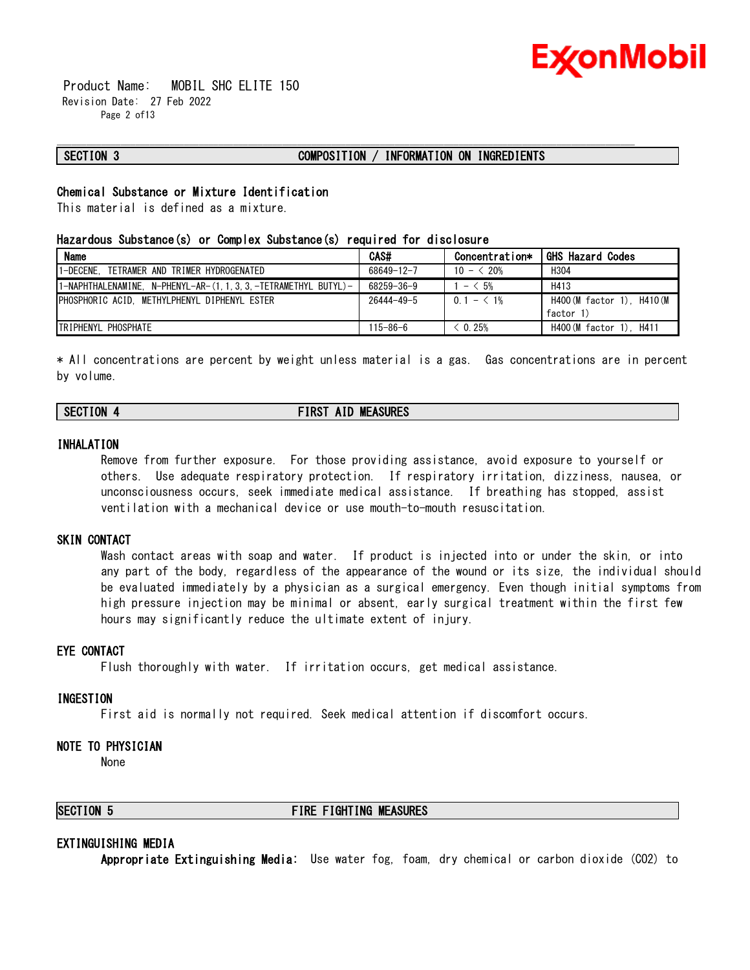

 Product Name: MOBIL SHC ELITE 150 Revision Date: 27 Feb 2022 Page 2 of13

# **SECTION 3 COMPOSITION / INFORMATION ON INGREDIENTS**

\_\_\_\_\_\_\_\_\_\_\_\_\_\_\_\_\_\_\_\_\_\_\_\_\_\_\_\_\_\_\_\_\_\_\_\_\_\_\_\_\_\_\_\_\_\_\_\_\_\_\_\_\_\_\_\_\_\_\_\_\_\_\_\_\_\_\_\_\_\_\_\_\_\_\_\_\_\_\_\_\_\_\_\_\_\_\_\_\_\_\_\_\_\_\_\_\_\_\_\_\_\_\_\_\_\_\_\_\_\_\_\_\_\_\_\_\_\_

# **Chemical Substance or Mixture Identification**

This material is defined as a mixture.

#### **Hazardous Substance(s) or Complex Substance(s) required for disclosure**

| <b>Name</b>                                                  | CAS#           | Concentration* | <b>GHS Hazard Codes</b>    |
|--------------------------------------------------------------|----------------|----------------|----------------------------|
| 1-DECENE.<br>. TETRAMER AND TRIMER HYDROGENATED              | 68649-12-7     | $10 - 520%$    | H <sub>304</sub>           |
| 1-NAPHTHALENAMINE. N-PHENYL-AR-(1.1.3.3.-TETRAMETHYL BUTYL)- | 68259-36-9     | $- < 5%$       | H413                       |
| PHOSPHORIC ACID. METHYLPHENYL DIPHENYL ESTER                 | 26444-49-5     | $0.1 - 1\%$    | H400 (M factor 1). H410 (M |
|                                                              |                |                | factor 1)                  |
| <b>TRIPHENYL PHOSPHATE</b>                                   | $115 - 86 - 6$ | 0.25%          | H400 (M factor 1). H411    |

\* All concentrations are percent by weight unless material is a gas. Gas concentrations are in percent by volume.

# **SECTION 4 FIRST AID MEASURES**

# **INHALATION**

Remove from further exposure. For those providing assistance, avoid exposure to yourself or others. Use adequate respiratory protection. If respiratory irritation, dizziness, nausea, or unconsciousness occurs, seek immediate medical assistance. If breathing has stopped, assist ventilation with a mechanical device or use mouth-to-mouth resuscitation.

## **SKIN CONTACT**

Wash contact areas with soap and water. If product is injected into or under the skin, or into any part of the body, regardless of the appearance of the wound or its size, the individual should be evaluated immediately by a physician as a surgical emergency. Even though initial symptoms from high pressure injection may be minimal or absent, early surgical treatment within the first few hours may significantly reduce the ultimate extent of injury.

#### **EYE CONTACT**

Flush thoroughly with water. If irritation occurs, get medical assistance.

#### **INGESTION**

First aid is normally not required. Seek medical attention if discomfort occurs.

### **NOTE TO PHYSICIAN**

None

# **SECTION 5 FIRE FIGHTING MEASURES**

#### **EXTINGUISHING MEDIA**

**Appropriate Extinguishing Media:** Use water fog, foam, dry chemical or carbon dioxide (CO2) to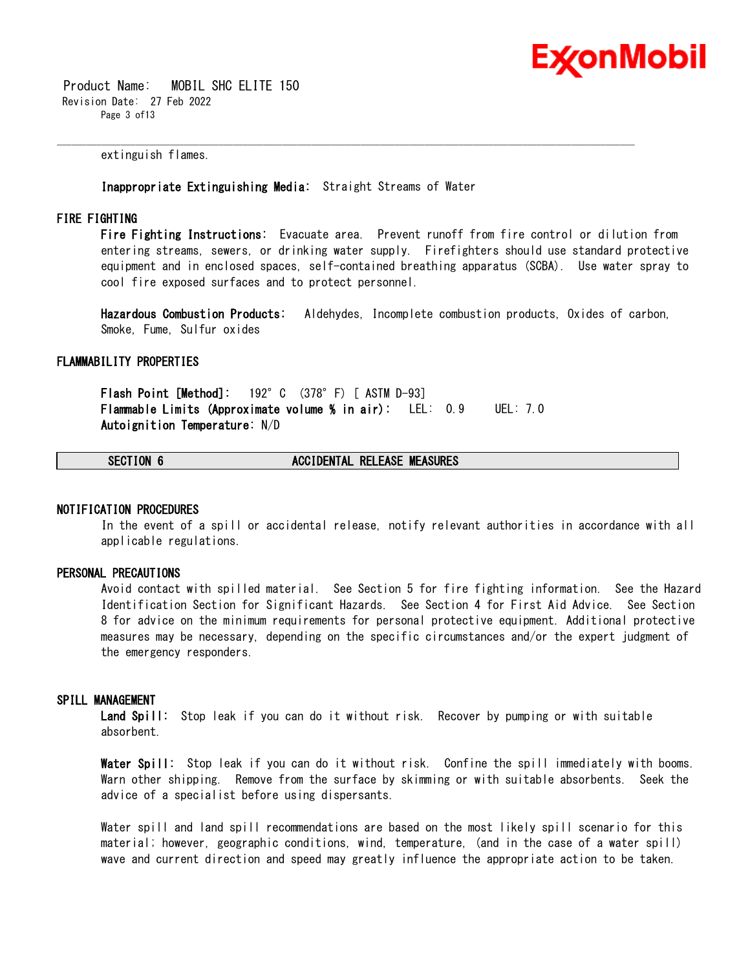

 Product Name: MOBIL SHC ELITE 150 Revision Date: 27 Feb 2022 Page 3 of13

extinguish flames.

**Inappropriate Extinguishing Media:** Straight Streams of Water

\_\_\_\_\_\_\_\_\_\_\_\_\_\_\_\_\_\_\_\_\_\_\_\_\_\_\_\_\_\_\_\_\_\_\_\_\_\_\_\_\_\_\_\_\_\_\_\_\_\_\_\_\_\_\_\_\_\_\_\_\_\_\_\_\_\_\_\_\_\_\_\_\_\_\_\_\_\_\_\_\_\_\_\_\_\_\_\_\_\_\_\_\_\_\_\_\_\_\_\_\_\_\_\_\_\_\_\_\_\_\_\_\_\_\_\_\_\_

### **FIRE FIGHTING**

**Fire Fighting Instructions:** Evacuate area. Prevent runoff from fire control or dilution from entering streams, sewers, or drinking water supply. Firefighters should use standard protective equipment and in enclosed spaces, self-contained breathing apparatus (SCBA). Use water spray to cool fire exposed surfaces and to protect personnel.

**Hazardous Combustion Products:** Aldehydes, Incomplete combustion products, Oxides of carbon, Smoke, Fume, Sulfur oxides

#### **FLAMMABILITY PROPERTIES**

**Flash Point [Method]:** 192°C (378°F) [ ASTM D-93] **Flammable Limits (Approximate volume % in air):** LEL: 0.9 UEL: 7.0 **Autoignition Temperature:** N/D

**SECTION 6 ACCIDENTAL RELEASE MEASURES**

#### **NOTIFICATION PROCEDURES**

In the event of a spill or accidental release, notify relevant authorities in accordance with all applicable regulations.

#### **PERSONAL PRECAUTIONS**

Avoid contact with spilled material. See Section 5 for fire fighting information. See the Hazard Identification Section for Significant Hazards. See Section 4 for First Aid Advice. See Section 8 for advice on the minimum requirements for personal protective equipment. Additional protective measures may be necessary, depending on the specific circumstances and/or the expert judgment of the emergency responders.

#### **SPILL MANAGEMENT**

**Land Spill:** Stop leak if you can do it without risk. Recover by pumping or with suitable absorbent.

**Water Spill:** Stop leak if you can do it without risk. Confine the spill immediately with booms. Warn other shipping. Remove from the surface by skimming or with suitable absorbents. Seek the advice of a specialist before using dispersants.

Water spill and land spill recommendations are based on the most likely spill scenario for this material; however, geographic conditions, wind, temperature, (and in the case of a water spill) wave and current direction and speed may greatly influence the appropriate action to be taken.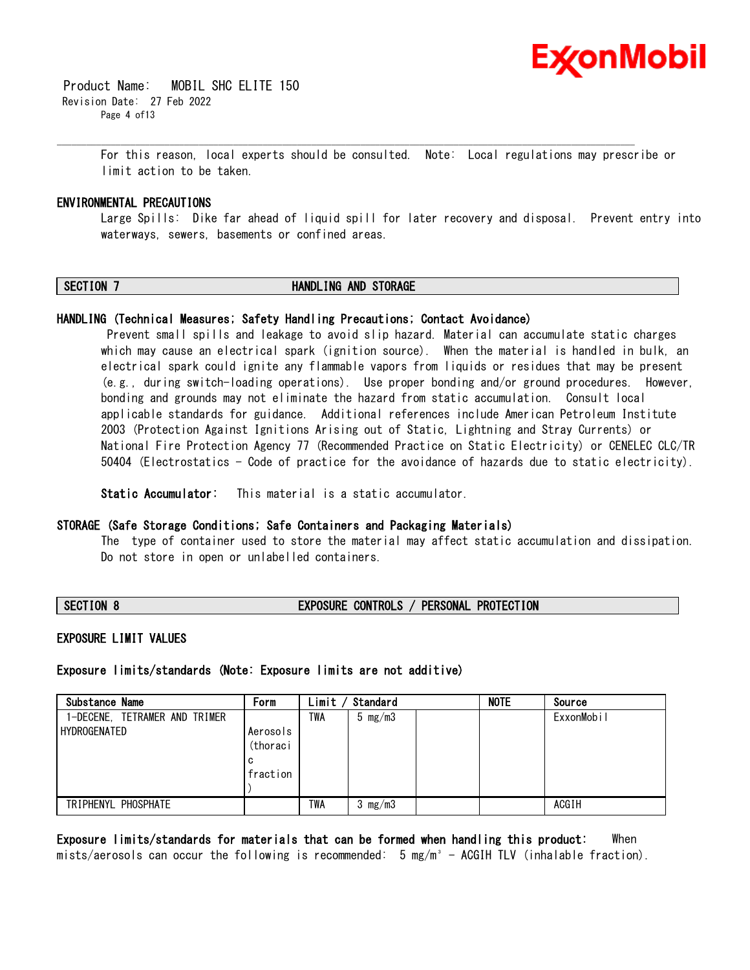

 Product Name: MOBIL SHC ELITE 150 Revision Date: 27 Feb 2022 Page 4 of13

> For this reason, local experts should be consulted. Note: Local regulations may prescribe or limit action to be taken.

### **ENVIRONMENTAL PRECAUTIONS**

Large Spills: Dike far ahead of liquid spill for later recovery and disposal. Prevent entry into waterways, sewers, basements or confined areas.

# **SECTION 7 HANDLING AND STORAGE**

\_\_\_\_\_\_\_\_\_\_\_\_\_\_\_\_\_\_\_\_\_\_\_\_\_\_\_\_\_\_\_\_\_\_\_\_\_\_\_\_\_\_\_\_\_\_\_\_\_\_\_\_\_\_\_\_\_\_\_\_\_\_\_\_\_\_\_\_\_\_\_\_\_\_\_\_\_\_\_\_\_\_\_\_\_\_\_\_\_\_\_\_\_\_\_\_\_\_\_\_\_\_\_\_\_\_\_\_\_\_\_\_\_\_\_\_\_\_

#### **HANDLING (Technical Measures; Safety Handling Precautions; Contact Avoidance)**

Prevent small spills and leakage to avoid slip hazard. Material can accumulate static charges which may cause an electrical spark (ignition source). When the material is handled in bulk, an electrical spark could ignite any flammable vapors from liquids or residues that may be present (e.g., during switch-loading operations). Use proper bonding and/or ground procedures. However, bonding and grounds may not eliminate the hazard from static accumulation. Consult local applicable standards for guidance. Additional references include American Petroleum Institute 2003 (Protection Against Ignitions Arising out of Static, Lightning and Stray Currents) or National Fire Protection Agency 77 (Recommended Practice on Static Electricity) or CENELEC CLC/TR 50404 (Electrostatics - Code of practice for the avoidance of hazards due to static electricity).

**Static Accumulator:** This material is a static accumulator.

#### **STORAGE (Safe Storage Conditions; Safe Containers and Packaging Materials)**

The type of container used to store the material may affect static accumulation and dissipation. Do not store in open or unlabelled containers.

# **SECTION 8 EXPOSURE CONTROLS / PERSONAL PROTECTION**

#### **EXPOSURE LIMIT VALUES**

**Exposure limits/standards (Note: Exposure limits are not additive)**

| Substance Name                | Form     | Limit      | Standard  | <b>NOTE</b> | Source     |
|-------------------------------|----------|------------|-----------|-------------|------------|
| 1-DECENE. TETRAMER AND TRIMER |          | TWA        | 5 $mg/m3$ |             | ExxonMobil |
| HYDROGENATED                  | Aerosols |            |           |             |            |
|                               | (thoraci |            |           |             |            |
|                               | C        |            |           |             |            |
|                               | fraction |            |           |             |            |
|                               |          |            |           |             |            |
| TRIPHENYL PHOSPHATE           |          | <b>TWA</b> | 3 $mg/m3$ |             | ACGIH      |

**Exposure limits/standards for materials that can be formed when handling this product:** When mists/aerosols can occur the following is recommended:  $5 \text{ mg/m}^3$  - ACGIH TLV (inhalable fraction).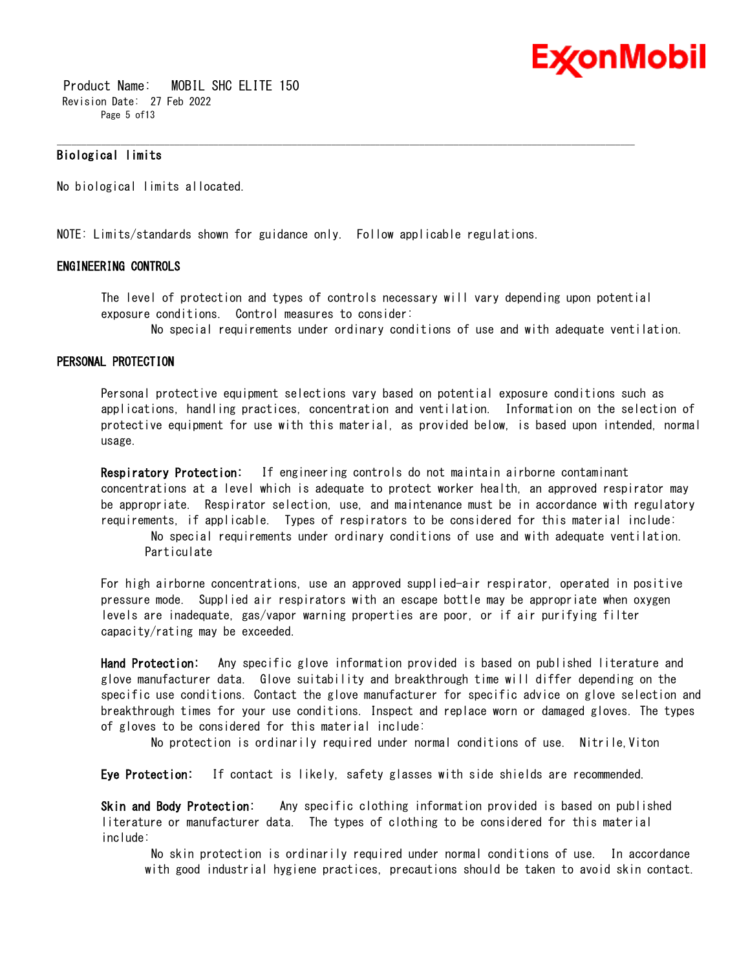

 Product Name: MOBIL SHC ELITE 150 Revision Date: 27 Feb 2022 Page 5 of 13

# **Biological limits**

No biological limits allocated.

NOTE: Limits/standards shown for guidance only. Follow applicable regulations.

### **ENGINEERING CONTROLS**

The level of protection and types of controls necessary will vary depending upon potential exposure conditions. Control measures to consider:

\_\_\_\_\_\_\_\_\_\_\_\_\_\_\_\_\_\_\_\_\_\_\_\_\_\_\_\_\_\_\_\_\_\_\_\_\_\_\_\_\_\_\_\_\_\_\_\_\_\_\_\_\_\_\_\_\_\_\_\_\_\_\_\_\_\_\_\_\_\_\_\_\_\_\_\_\_\_\_\_\_\_\_\_\_\_\_\_\_\_\_\_\_\_\_\_\_\_\_\_\_\_\_\_\_\_\_\_\_\_\_\_\_\_\_\_\_\_

No special requirements under ordinary conditions of use and with adequate ventilation.

#### **PERSONAL PROTECTION**

Personal protective equipment selections vary based on potential exposure conditions such as applications, handling practices, concentration and ventilation. Information on the selection of protective equipment for use with this material, as provided below, is based upon intended, normal usage.

**Respiratory Protection:** If engineering controls do not maintain airborne contaminant concentrations at a level which is adequate to protect worker health, an approved respirator may be appropriate. Respirator selection, use, and maintenance must be in accordance with regulatory requirements, if applicable. Types of respirators to be considered for this material include:

No special requirements under ordinary conditions of use and with adequate ventilation. Particulate

For high airborne concentrations, use an approved supplied-air respirator, operated in positive pressure mode. Supplied air respirators with an escape bottle may be appropriate when oxygen levels are inadequate, gas/vapor warning properties are poor, or if air purifying filter capacity/rating may be exceeded.

**Hand Protection:** Any specific glove information provided is based on published literature and glove manufacturer data. Glove suitability and breakthrough time will differ depending on the specific use conditions. Contact the glove manufacturer for specific advice on glove selection and breakthrough times for your use conditions. Inspect and replace worn or damaged gloves. The types of gloves to be considered for this material include:

No protection is ordinarily required under normal conditions of use. Nitrile,Viton

**Eye Protection:** If contact is likely, safety glasses with side shields are recommended.

**Skin and Body Protection:** Any specific clothing information provided is based on published literature or manufacturer data. The types of clothing to be considered for this material include:

No skin protection is ordinarily required under normal conditions of use. In accordance with good industrial hygiene practices, precautions should be taken to avoid skin contact.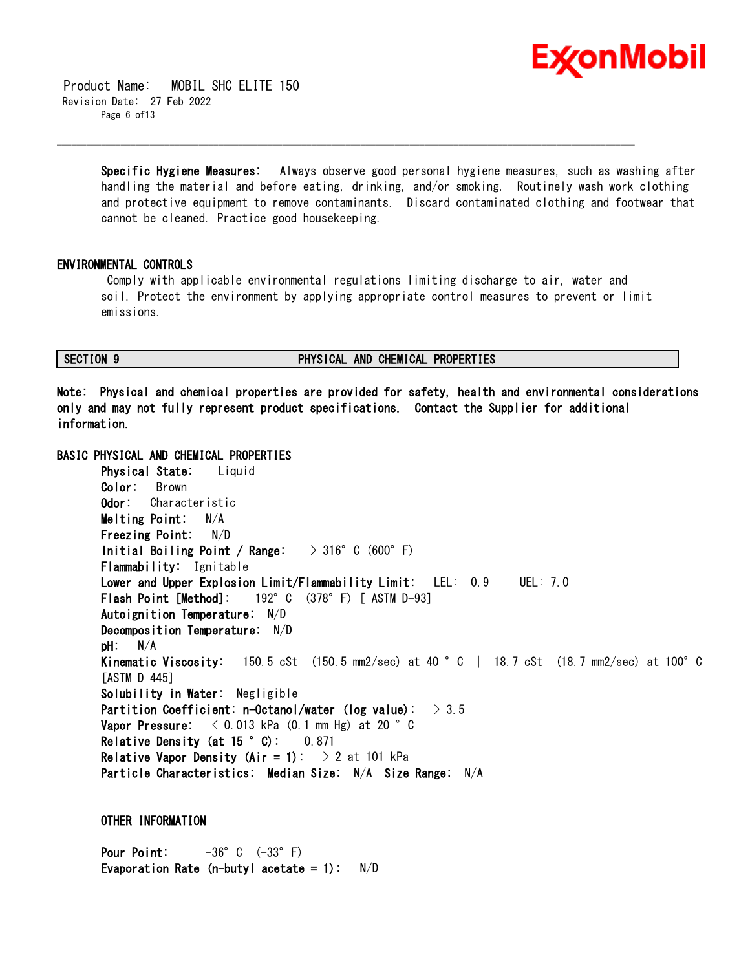

 Product Name: MOBIL SHC ELITE 150 Revision Date: 27 Feb 2022 Page 6 of 13

> **Specific Hygiene Measures:** Always observe good personal hygiene measures, such as washing after handling the material and before eating, drinking, and/or smoking. Routinely wash work clothing and protective equipment to remove contaminants. Discard contaminated clothing and footwear that cannot be cleaned. Practice good housekeeping.

### **ENVIRONMENTAL CONTROLS**

Comply with applicable environmental regulations limiting discharge to air, water and soil. Protect the environment by applying appropriate control measures to prevent or limit emissions.

\_\_\_\_\_\_\_\_\_\_\_\_\_\_\_\_\_\_\_\_\_\_\_\_\_\_\_\_\_\_\_\_\_\_\_\_\_\_\_\_\_\_\_\_\_\_\_\_\_\_\_\_\_\_\_\_\_\_\_\_\_\_\_\_\_\_\_\_\_\_\_\_\_\_\_\_\_\_\_\_\_\_\_\_\_\_\_\_\_\_\_\_\_\_\_\_\_\_\_\_\_\_\_\_\_\_\_\_\_\_\_\_\_\_\_\_\_\_

# **SECTION 9 PHYSICAL AND CHEMICAL PROPERTIES**

**Note: Physical and chemical properties are provided for safety, health and environmental considerations only and may not fully represent product specifications. Contact the Supplier for additional information.**

# **BASIC PHYSICAL AND CHEMICAL PROPERTIES**

**Physical State:** Liquid **Color:** Brown **Odor:** Characteristic **Melting Point:** N/A **Freezing Point:** N/D **Initial Boiling Point / Range:** > 316°C (600°F) **Flammability:** Ignitable **Lower and Upper Explosion Limit/Flammability Limit:** LEL: 0.9 UEL: 7.0 **Flash Point [Method]:** 192°C (378°F) [ ASTM D-93] **Autoignition Temperature:** N/D **Decomposition Temperature:** N/D **pH:** N/A **Kinematic Viscosity:** 150.5 cSt (150.5 mm2/sec) at 40 °C | 18.7 cSt (18.7 mm2/sec) at 100°C [ASTM D 445] **Solubility in Water:** Negligible **Partition Coefficient: n-Octanol/water (log value):** > 3.5 **Vapor Pressure:** < 0.013 kPa (0.1 mm Hg) at 20 °C **Relative Density (at 15 °C):** 0.871 **Relative Vapor Density (Air = 1):**  $\rightarrow$  2 at 101 kPa **Particle Characteristics: Median Size:** N/A **Size Range:** N/A

# **OTHER INFORMATION**

**Pour Point:**  $-36^{\circ}$  C  $(-33^{\circ}$  F) **Evaporation Rate (n-butyl acetate = 1):** N/D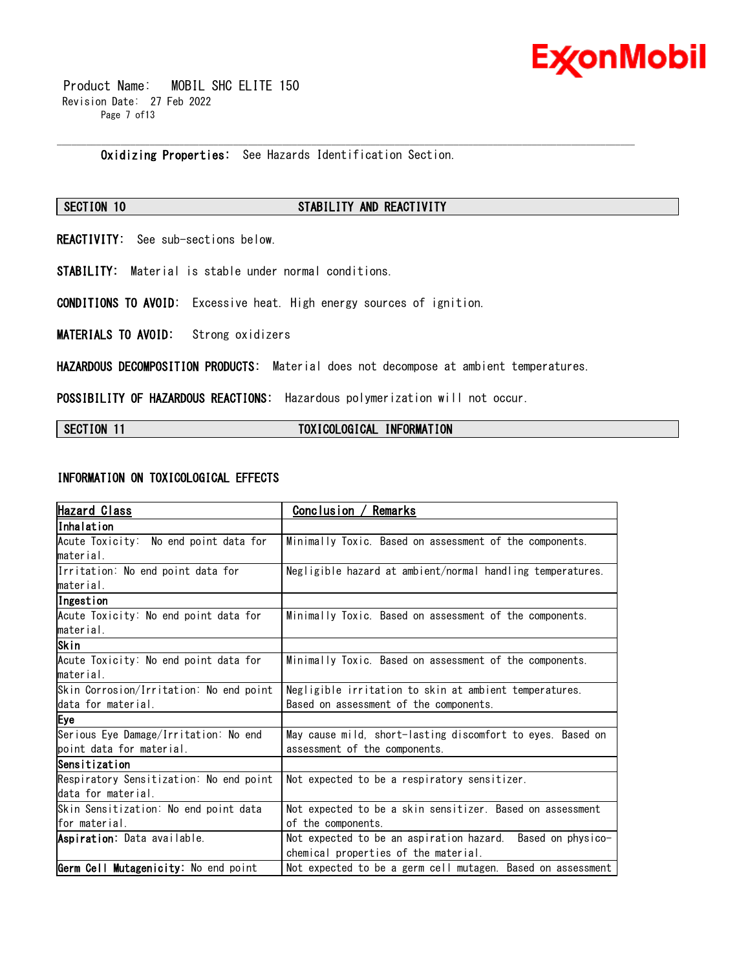

 Product Name: MOBIL SHC ELITE 150 Revision Date: 27 Feb 2022 Page 7 of13

**Oxidizing Properties:** See Hazards Identification Section.

# **SECTION 10 STABILITY AND REACTIVITY**

\_\_\_\_\_\_\_\_\_\_\_\_\_\_\_\_\_\_\_\_\_\_\_\_\_\_\_\_\_\_\_\_\_\_\_\_\_\_\_\_\_\_\_\_\_\_\_\_\_\_\_\_\_\_\_\_\_\_\_\_\_\_\_\_\_\_\_\_\_\_\_\_\_\_\_\_\_\_\_\_\_\_\_\_\_\_\_\_\_\_\_\_\_\_\_\_\_\_\_\_\_\_\_\_\_\_\_\_\_\_\_\_\_\_\_\_\_\_

**REACTIVITY:** See sub-sections below.

**STABILITY:** Material is stable under normal conditions.

**CONDITIONS TO AVOID:** Excessive heat. High energy sources of ignition.

**MATERIALS TO AVOID:** Strong oxidizers

**HAZARDOUS DECOMPOSITION PRODUCTS:** Material does not decompose at ambient temperatures.

**POSSIBILITY OF HAZARDOUS REACTIONS:** Hazardous polymerization will not occur.

# **SECTION 11 TOXICOLOGICAL INFORMATION**

#### **INFORMATION ON TOXICOLOGICAL EFFECTS**

| Hazard Class                            | Remarks<br>Conclusion /                                     |  |  |
|-----------------------------------------|-------------------------------------------------------------|--|--|
| lInhalation                             |                                                             |  |  |
| Acute Toxicity: No end point data for   | Minimally Toxic. Based on assessment of the components.     |  |  |
| material.                               |                                                             |  |  |
| Irritation: No end point data for       | Negligible hazard at ambient/normal handling temperatures.  |  |  |
| lmaterial.                              |                                                             |  |  |
| Ingestion                               |                                                             |  |  |
| Acute Toxicity: No end point data for   | Minimally Toxic. Based on assessment of the components.     |  |  |
| material.                               |                                                             |  |  |
| Skin                                    |                                                             |  |  |
| Acute Toxicity: No end point data for   | Minimally Toxic. Based on assessment of the components.     |  |  |
| lmaterial.                              |                                                             |  |  |
| Skin Corrosion/Irritation: No end point | Negligible irritation to skin at ambient temperatures.      |  |  |
| data for material.                      | Based on assessment of the components.                      |  |  |
| Eye                                     |                                                             |  |  |
| Serious Eye Damage/Irritation: No end   | May cause mild, short-lasting discomfort to eyes. Based on  |  |  |
| boint data for material.                | assessment of the components.                               |  |  |
| Sensitization                           |                                                             |  |  |
| Respiratory Sensitization: No end point | Not expected to be a respiratory sensitizer.                |  |  |
| data for material.                      |                                                             |  |  |
| Skin Sensitization: No end point data   | Not expected to be a skin sensitizer. Based on assessment   |  |  |
| lfor material.                          | of the components.                                          |  |  |
| Aspiration: Data available.             | Not expected to be an aspiration hazard. Based on physico-  |  |  |
|                                         | chemical properties of the material.                        |  |  |
| Germ Cell Mutagenicity: No end point    | Not expected to be a germ cell mutagen. Based on assessment |  |  |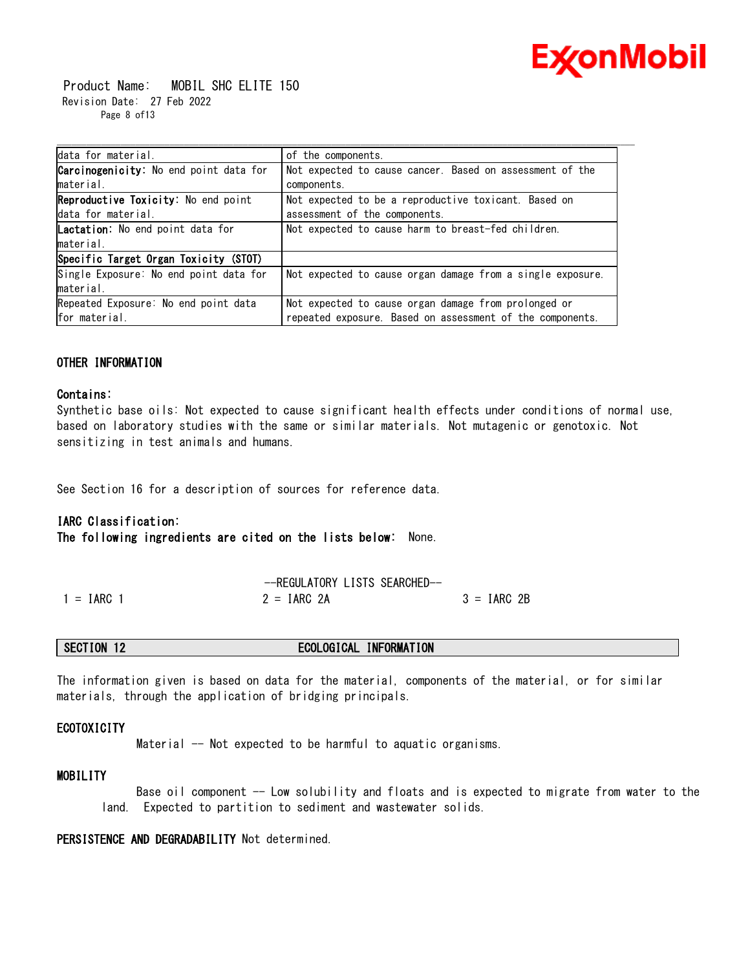

 Product Name: MOBIL SHC ELITE 150 Revision Date: 27 Feb 2022 Page 8 of13

| data for material.                             |                                                            |
|------------------------------------------------|------------------------------------------------------------|
|                                                | of the components.                                         |
| <b>Carcinogenicity</b> : No end point data for | Not expected to cause cancer. Based on assessment of the   |
| material.                                      | components.                                                |
| Reproductive Toxicity: No end point            | Not expected to be a reproductive toxicant. Based on       |
| data for material.                             | assessment of the components.                              |
| <b>Lactation:</b> No end point data for        | Not expected to cause harm to breast-fed children.         |
| material.                                      |                                                            |
| Specific Target Organ Toxicity (STOT)          |                                                            |
| Single Exposure: No end point data for         | Not expected to cause organ damage from a single exposure. |
| material.                                      |                                                            |
| Repeated Exposure: No end point data           | Not expected to cause organ damage from prolonged or       |
| for material.                                  | repeated exposure. Based on assessment of the components.  |

### **OTHER INFORMATION**

#### **Contains:**

Synthetic base oils: Not expected to cause significant health effects under conditions of normal use, based on laboratory studies with the same or similar materials. Not mutagenic or genotoxic. Not sensitizing in test animals and humans.

See Section 16 for a description of sources for reference data.

#### **IARC Classification:**

**The following ingredients are cited on the lists below:** None.

|              | -REGULATORY LISTS SEARCHED- |               |
|--------------|-----------------------------|---------------|
| $1 = IARC$ 1 | $2 = IARG 2A$               | $3 = IARC 2B$ |

| ECOLOGICAL<br>INFORMATION<br>SECTION 12 |  |
|-----------------------------------------|--|
|-----------------------------------------|--|

The information given is based on data for the material, components of the material, or for similar materials, through the application of bridging principals.

#### **ECOTOXICITY**

Material -- Not expected to be harmful to aquatic organisms.

# **MOBILITY**

 Base oil component -- Low solubility and floats and is expected to migrate from water to the land. Expected to partition to sediment and wastewater solids.

**PERSISTENCE AND DEGRADABILITY** Not determined.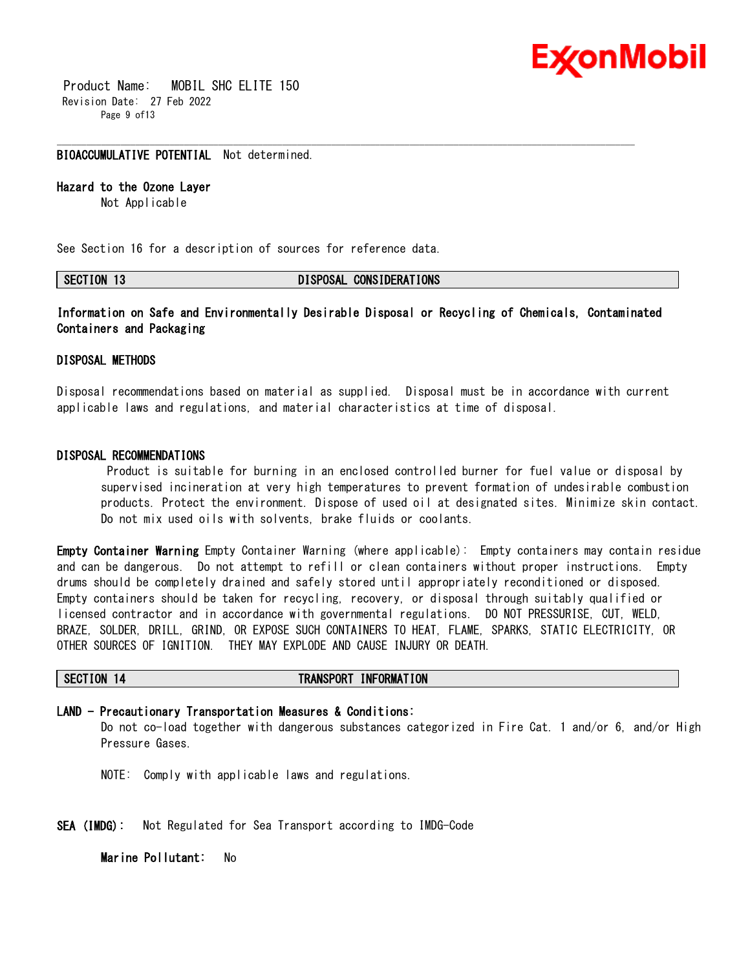

 Product Name: MOBIL SHC ELITE 150 Revision Date: 27 Feb 2022 Page 9 of13

## **BIOACCUMULATIVE POTENTIAL** Not determined.

# **Hazard to the Ozone Layer**

Not Applicable

See Section 16 for a description of sources for reference data.

#### **SECTION 13 DISPOSAL CONSIDERATIONS**

\_\_\_\_\_\_\_\_\_\_\_\_\_\_\_\_\_\_\_\_\_\_\_\_\_\_\_\_\_\_\_\_\_\_\_\_\_\_\_\_\_\_\_\_\_\_\_\_\_\_\_\_\_\_\_\_\_\_\_\_\_\_\_\_\_\_\_\_\_\_\_\_\_\_\_\_\_\_\_\_\_\_\_\_\_\_\_\_\_\_\_\_\_\_\_\_\_\_\_\_\_\_\_\_\_\_\_\_\_\_\_\_\_\_\_\_\_\_

**Information on Safe and Environmentally Desirable Disposal or Recycling of Chemicals, Contaminated Containers and Packaging** 

# **DISPOSAL METHODS**

Disposal recommendations based on material as supplied. Disposal must be in accordance with current applicable laws and regulations, and material characteristics at time of disposal.

### **DISPOSAL RECOMMENDATIONS**

Product is suitable for burning in an enclosed controlled burner for fuel value or disposal by supervised incineration at very high temperatures to prevent formation of undesirable combustion products. Protect the environment. Dispose of used oil at designated sites. Minimize skin contact. Do not mix used oils with solvents, brake fluids or coolants.

**Empty Container Warning** Empty Container Warning (where applicable): Empty containers may contain residue and can be dangerous. Do not attempt to refill or clean containers without proper instructions. Empty drums should be completely drained and safely stored until appropriately reconditioned or disposed. Empty containers should be taken for recycling, recovery, or disposal through suitably qualified or licensed contractor and in accordance with governmental regulations. DO NOT PRESSURISE, CUT, WELD, BRAZE, SOLDER, DRILL, GRIND, OR EXPOSE SUCH CONTAINERS TO HEAT, FLAME, SPARKS, STATIC ELECTRICITY, OR OTHER SOURCES OF IGNITION. THEY MAY EXPLODE AND CAUSE INJURY OR DEATH.

#### **SECTION 14 TRANSPORT INFORMATION**

**LAND - Precautionary Transportation Measures & Conditions:**

Do not co-load together with dangerous substances categorized in Fire Cat. 1 and/or 6, and/or High Pressure Gases.

NOTE: Comply with applicable laws and regulations.

**SEA (IMDG):** Not Regulated for Sea Transport according to IMDG-Code

**Marine Pollutant:** No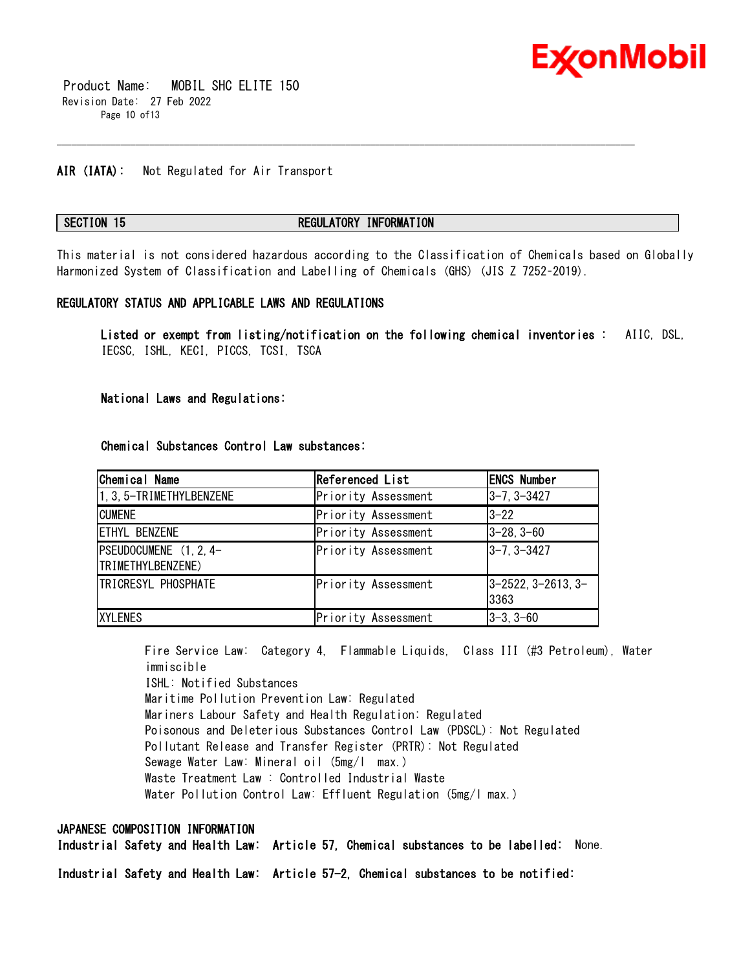

 Product Name: MOBIL SHC ELITE 150 Revision Date: 27 Feb 2022 Page 10 of13

### **AIR (IATA):** Not Regulated for Air Transport

# **SECTION 15 REGULATORY INFORMATION**

This material is not considered hazardous according to the Classification of Chemicals based on Globally Harmonized System of Classification and Labelling of Chemicals (GHS) (JIS Z 7252–2019).

\_\_\_\_\_\_\_\_\_\_\_\_\_\_\_\_\_\_\_\_\_\_\_\_\_\_\_\_\_\_\_\_\_\_\_\_\_\_\_\_\_\_\_\_\_\_\_\_\_\_\_\_\_\_\_\_\_\_\_\_\_\_\_\_\_\_\_\_\_\_\_\_\_\_\_\_\_\_\_\_\_\_\_\_\_\_\_\_\_\_\_\_\_\_\_\_\_\_\_\_\_\_\_\_\_\_\_\_\_\_\_\_\_\_\_\_\_\_

#### **REGULATORY STATUS AND APPLICABLE LAWS AND REGULATIONS**

**Listed or exempt from listing/notification on the following chemical inventories :** AIIC, DSL, IECSC, ISHL, KECI, PICCS, TCSI, TSCA

#### **National Laws and Regulations:**

| Chemical Name                               | Referenced List     | <b>ENCS Number</b>                  |
|---------------------------------------------|---------------------|-------------------------------------|
| 1, 3, 5-TRIMETHYLBENZENE                    | Priority Assessment | $ 3 - 7, 3 - 3427$                  |
| <b>CUMENE</b>                               | Priority Assessment | 3-22                                |
| ETHYL BENZENE                               | Priority Assessment | $ 3-28, 3-60$                       |
| PSEUDOCUMENE (1, 2, 4-<br>TRIMETHYLBENZENE) | Priority Assessment | $ 3 - 7, 3 - 3427$                  |
| <b>TRICRESYL PHOSPHATE</b>                  | Priority Assessment | $ 3 - 2522, 3 - 2613, 3 -$<br>13363 |
| <b>XYLENES</b>                              | Priority Assessment | $ 3-3, 3-60$                        |

**Chemical Substances Control Law substances:**

Fire Service Law: Category 4, Flammable Liquids, Class III (#3 Petroleum), Water immiscible ISHL: Notified Substances Maritime Pollution Prevention Law: Regulated Mariners Labour Safety and Health Regulation: Regulated Poisonous and Deleterious Substances Control Law (PDSCL): Not Regulated Pollutant Release and Transfer Register (PRTR): Not Regulated Sewage Water Law: Mineral oil (5mg/l max.) Waste Treatment Law : Controlled Industrial Waste Water Pollution Control Law: Effluent Regulation (5mg/l max.)

# **JAPANESE COMPOSITION INFORMATION**

**Industrial Safety and Health Law: Article 57, Chemical substances to be labelled:** None.

**Industrial Safety and Health Law: Article 57-2, Chemical substances to be notified:**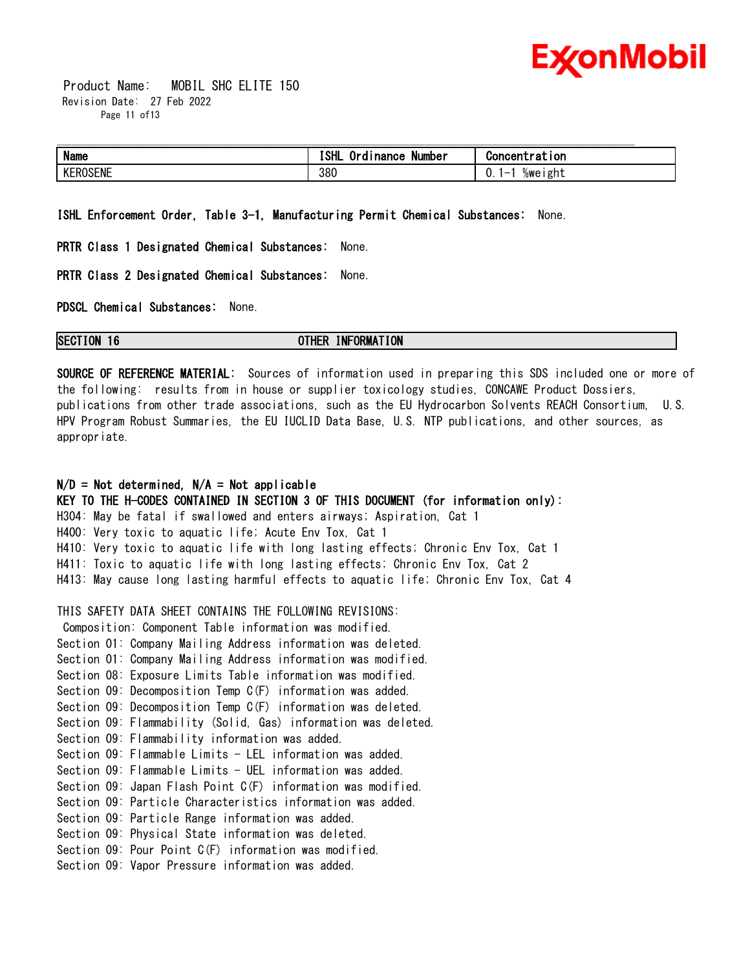

 Product Name: MOBIL SHC ELITE 150 Revision Date: 27 Feb 2022 Page 11 of 13

| <b>Name</b>                  | --<br>וו וחז<br>. .<br>Number<br><b>Inance</b> | $\sqrt{2}$<br>ווטו |
|------------------------------|------------------------------------------------|--------------------|
| $\sim$ $ \sim$ $-$<br>ROSENL | 380                                            | U.<br>%weıght      |

**ISHL Enforcement Order, Table 3-1, Manufacturing Permit Chemical Substances:** None.

**PRTR Class 1 Designated Chemical Substances:** None.

**PRTR Class 2 Designated Chemical Substances:** None.

**PDSCL Chemical Substances:** None.

**SECTION 16 OTHER INFORMATION**

**SOURCE OF REFERENCE MATERIAL:** Sources of information used in preparing this SDS included one or more of the following: results from in house or supplier toxicology studies, CONCAWE Product Dossiers, publications from other trade associations, such as the EU Hydrocarbon Solvents REACH Consortium, U.S. HPV Program Robust Summaries, the EU IUCLID Data Base, U.S. NTP publications, and other sources, as appropriate.

# **N/D = Not determined, N/A = Not applicable**

**KEY TO THE H-CODES CONTAINED IN SECTION 3 OF THIS DOCUMENT (for information only):** H304: May be fatal if swallowed and enters airways; Aspiration, Cat 1 H400: Very toxic to aquatic life; Acute Env Tox, Cat 1 H410: Very toxic to aquatic life with long lasting effects; Chronic Env Tox, Cat 1 H411: Toxic to aquatic life with long lasting effects; Chronic Env Tox, Cat 2 H413: May cause long lasting harmful effects to aquatic life; Chronic Env Tox, Cat 4

THIS SAFETY DATA SHEET CONTAINS THE FOLLOWING REVISIONS:

Composition: Component Table information was modified. Section 01: Company Mailing Address information was deleted. Section 01: Company Mailing Address information was modified. Section 08: Exposure Limits Table information was modified. Section 09: Decomposition Temp C(F) information was added. Section 09: Decomposition Temp C(F) information was deleted. Section 09: Flammability (Solid, Gas) information was deleted. Section 09: Flammability information was added. Section 09: Flammable Limits - LEL information was added. Section 09: Flammable Limits - UEL information was added. Section 09: Japan Flash Point C(F) information was modified. Section 09: Particle Characteristics information was added. Section 09: Particle Range information was added. Section 09: Physical State information was deleted. Section 09: Pour Point C(F) information was modified. Section 09: Vapor Pressure information was added.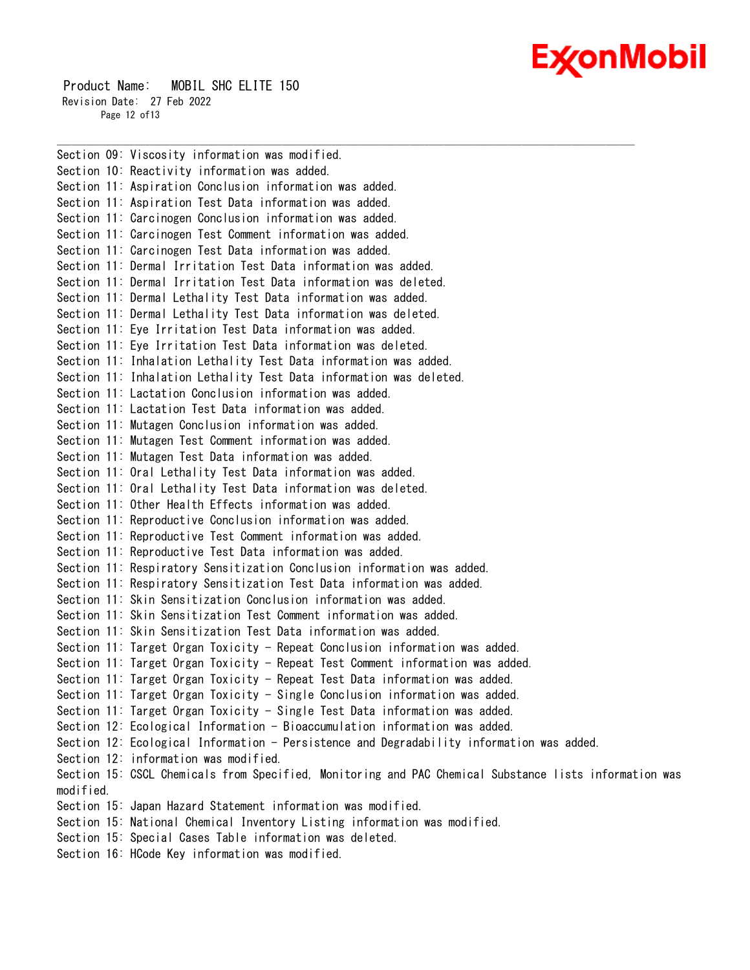# Ex⁄onMobil

 Product Name: MOBIL SHC ELITE 150 Revision Date: 27 Feb 2022 Page 12 of 13

Section 09: Viscosity information was modified. Section 10: Reactivity information was added. Section 11: Aspiration Conclusion information was added. Section 11: Aspiration Test Data information was added. Section 11: Carcinogen Conclusion information was added. Section 11: Carcinogen Test Comment information was added. Section 11: Carcinogen Test Data information was added. Section 11: Dermal Irritation Test Data information was added. Section 11: Dermal Irritation Test Data information was deleted. Section 11: Dermal Lethality Test Data information was added. Section 11: Dermal Lethality Test Data information was deleted. Section 11: Eye Irritation Test Data information was added. Section 11: Eye Irritation Test Data information was deleted. Section 11: Inhalation Lethality Test Data information was added. Section 11: Inhalation Lethality Test Data information was deleted. Section 11: Lactation Conclusion information was added. Section 11: Lactation Test Data information was added. Section 11: Mutagen Conclusion information was added. Section 11: Mutagen Test Comment information was added. Section 11: Mutagen Test Data information was added. Section 11: Oral Lethality Test Data information was added. Section 11: Oral Lethality Test Data information was deleted. Section 11: Other Health Effects information was added. Section 11: Reproductive Conclusion information was added. Section 11: Reproductive Test Comment information was added. Section 11: Reproductive Test Data information was added. Section 11: Respiratory Sensitization Conclusion information was added. Section 11: Respiratory Sensitization Test Data information was added. Section 11: Skin Sensitization Conclusion information was added. Section 11: Skin Sensitization Test Comment information was added. Section 11: Skin Sensitization Test Data information was added. Section 11: Target Organ Toxicity - Repeat Conclusion information was added. Section 11: Target Organ Toxicity - Repeat Test Comment information was added. Section 11: Target Organ Toxicity - Repeat Test Data information was added. Section 11: Target Organ Toxicity - Single Conclusion information was added. Section 11: Target Organ Toxicity - Single Test Data information was added. Section 12: Ecological Information - Bioaccumulation information was added. Section 12: Ecological Information - Persistence and Degradability information was added. Section 12: information was modified. Section 15: CSCL Chemicals from Specified, Monitoring and PAC Chemical Substance lists information was modified. Section 15: Japan Hazard Statement information was modified. Section 15: National Chemical Inventory Listing information was modified. Section 15: Special Cases Table information was deleted. Section 16: HCode Key information was modified.

\_\_\_\_\_\_\_\_\_\_\_\_\_\_\_\_\_\_\_\_\_\_\_\_\_\_\_\_\_\_\_\_\_\_\_\_\_\_\_\_\_\_\_\_\_\_\_\_\_\_\_\_\_\_\_\_\_\_\_\_\_\_\_\_\_\_\_\_\_\_\_\_\_\_\_\_\_\_\_\_\_\_\_\_\_\_\_\_\_\_\_\_\_\_\_\_\_\_\_\_\_\_\_\_\_\_\_\_\_\_\_\_\_\_\_\_\_\_